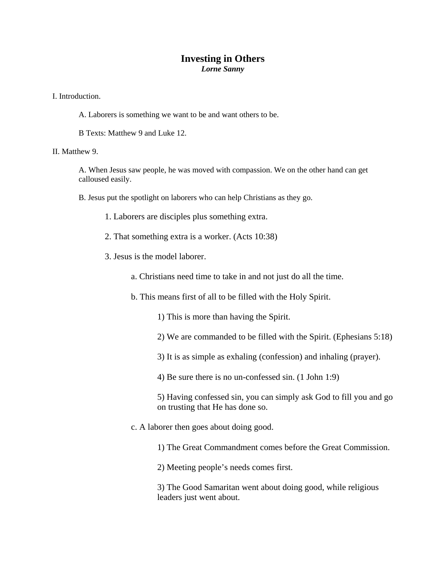## **Investing in Others**  *Lorne Sanny*

I. Introduction.

A. Laborers is something we want to be and want others to be.

B Texts: Matthew 9 and Luke 12.

II. Matthew 9.

A. When Jesus saw people, he was moved with compassion. We on the other hand can get calloused easily.

B. Jesus put the spotlight on laborers who can help Christians as they go.

- 1. Laborers are disciples plus something extra.
- 2. That something extra is a worker. (Acts 10:38)
- 3. Jesus is the model laborer.
	- a. Christians need time to take in and not just do all the time.
	- b. This means first of all to be filled with the Holy Spirit.
		- 1) This is more than having the Spirit.
		- 2) We are commanded to be filled with the Spirit. (Ephesians 5:18)
		- 3) It is as simple as exhaling (confession) and inhaling (prayer).
		- 4) Be sure there is no un-confessed sin. (1 John 1:9)

5) Having confessed sin, you can simply ask God to fill you and go on trusting that He has done so.

- c. A laborer then goes about doing good.
	- 1) The Great Commandment comes before the Great Commission.

2) Meeting people's needs comes first.

3) The Good Samaritan went about doing good, while religious leaders just went about.